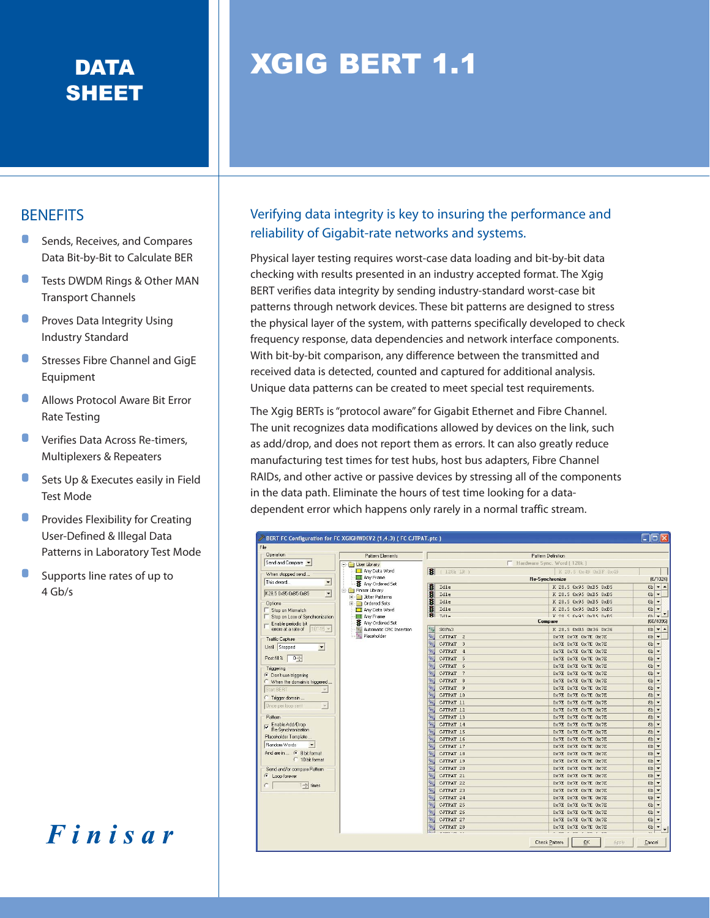## SHEET

## DATA **NATA NATA NATA NATA KATA**

## **BENEFITS**

- Sends, Receives, and Compares Data Bit-by-Bit to Calculate BER
- Tests DWDM Rings & Other MAN Transport Channels
- Proves Data Integrity Using Industry Standard
- Stresses Fibre Channel and GigE Equipment
- Allows Protocol Aware Bit Error Rate Testing
- Verifies Data Across Re-timers, Multiplexers & Repeaters
- Sets Up & Executes easily in Field Test Mode
- Provides Flexibility for Creating User-Defined & Illegal Data Patterns in Laboratory Test Mode
- Supports line rates of up to 4 Gb/s

Finisar

## Verifying data integrity is key to insuring the performance and reliability of Gigabit-rate networks and systems.

Physical layer testing requires worst-case data loading and bit-by-bit data checking with results presented in an industry accepted format. The Xgig BERT verifies data integrity by sending industry-standard worst-case bit patterns through network devices. These bit patterns are designed to stress the physical layer of the system, with patterns specifically developed to check frequency response, data dependencies and network interface components. With bit-by-bit comparison, any difference between the transmitted and received data is detected, counted and captured for additional analysis. Unique data patterns can be created to meet special test requirements.

The Xgig BERTs is "protocol aware" for Gigabit Ethernet and Fibre Channel. The unit recognizes data modifications allowed by devices on the link, such as add/drop, and does not report them as errors. It can also greatly reduce manufacturing test times for test hubs, host bus adapters, Fibre Channel RAIDs, and other active or passive devices by stressing all of the components in the data path. Eliminate the hours of test time looking for a datadependent error which happens only rarely in a normal traffic stream.

| File                                           |                                    |                                                     |                             |                                            |
|------------------------------------------------|------------------------------------|-----------------------------------------------------|-----------------------------|--------------------------------------------|
| <b>Operation</b>                               | Pattern Elements                   |                                                     | Pattern Definition          |                                            |
| Send and Compare                               | User Library                       | Hardware Sync. Word [ 128k]                         |                             |                                            |
| When stopped send                              | Any Data Word                      | H<br>(128k LR)                                      | K 28.5 0x49 0xBF 0x49       |                                            |
| This dword<br>$\overline{\phantom{a}}$         | Any Frame                          |                                                     | <b>Re-Synchronize</b>       | (6/1024)                                   |
|                                                | Any Ordered Set<br>Finisar Library | 寋<br>Idle                                           | K 28.5 0x95 0xB5 0xB5       | $8b - 4$                                   |
| K28.5 0x95 0xB5 0xB5<br>$\blacktriangledown$   | <b>E</b> Jitter Patterns           | 書<br>Idle                                           | K 28.5 0x95 0xB5 0xB5       | $8b$ $\star$                               |
| <b>Options</b>                                 | <b>Fig. 1</b> Ordered Sets         | 寋<br>Idle                                           | K 28.5 0x95 0xB5 0xB5       | $8b$ $\rightarrow$                         |
| Stop on Mismatch                               | Mary Data Word                     | 骞<br>Idle                                           | K 28.5 0x95 0xB5 0xB5       | $8b$ $\rightarrow$                         |
| Stop on Loss of Synchronization                | Any Frame                          | 客<br>Tdle                                           | K 28 5 Av95 Av85 Av85       | $Rh = \frac{1}{2}$                         |
| - Enable periodic bit                          | Any Ordered Set                    | [60/4096]<br>Compare                                |                             |                                            |
| errors at a rate of<br>$10^{\circ} - 15 =$     | Automatic CRC Insertion            | S0Fn3<br>$s_{o_e}$                                  | K 28.5 0xB5 0x36 0x36       | $8b - 4$                                   |
| <b>Traffic Capture</b>                         | Placeholder                        | $P_{\rm{d}}$<br>CJTPAT 2                            | $0x7E$ $0x7E$ $0x7E$ $0x7E$ | $8b -$                                     |
| Until Stopped<br>$\blacktriangledown$          |                                    | ъ.<br>CJTPAT<br>3                                   | OX7E OX7E OX7E OX7E         | $8b$ $\rightarrow$                         |
|                                                |                                    | $D_{\alpha_{\text{R}}}$<br>CJTPAT<br>$\overline{4}$ | OX7E OX7E OX7E OX7E         | 8 <sub>b</sub><br>$\overline{\phantom{a}}$ |
| Post fill %<br>$0 - $                          |                                    | $P_{d_{\text{B}}}$<br>CJTPAT<br>5                   | OX7E OX7E OX7E OX7E         | $8b -$                                     |
| Triggering                                     |                                    | $P_{\Delta_T}$<br>CJTPAT<br>6                       | OX7E OX7E OX7E OX7E         | $8b -$                                     |
| On't use triggering                            |                                    | $P_{\rm d}$<br>CJTPAT<br>$7$                        | OX7E OX7E OX7E OX7E         | $8b -$                                     |
| C When the domain is triggered                 |                                    | $P_{\rm{dr}}$<br>CJTPAT 8                           | OX7E OX7E OX7E OX7E         | $8b$ $\rightarrow$                         |
| Start BERT<br>$\mathcal{L}$                    |                                    | $p_{\hat{a}_1}$<br>CJTPAT 9                         | $0x7E$ $0x7E$ $0x7E$ $0x7E$ | $8b -$                                     |
| <sup>C</sup> Trigger domain                    |                                    | CJTPAT 10                                           | OX7E OX7E OX7E OX7E         | $8b$ $\rightarrow$                         |
| Once per loop sent<br>$\overline{\phantom{a}}$ |                                    | D <sub>a1.</sub><br>CJTPAT 11                       | OX7E OX7E OX7E OX7E         | 8 <sub>b</sub><br>$\overline{\phantom{a}}$ |
|                                                |                                    | $D_{\partial T}$<br>CJTPAT 12                       | $0x7E$ $0x7E$ $0x7E$ $0x7E$ | $8b$ $\rightarrow$                         |
| Pattern                                        |                                    | ч.<br>CJTPAT 13                                     | OX7E OX7E OX7E OX7E         | $8b -$                                     |
| Enable Add/Drop                                |                                    | $D_{\alpha_{\text{f}}}$<br>CJTPAT 14                | $0x7E$ $0x7E$ $0x7E$ $0x7E$ | $8b$ $\rightarrow$                         |
| Re-Synchronization                             |                                    | CJTPAT 15                                           | OX7E OX7E OX7E OX7E         | $8b$ $\rightarrow$                         |
| Placeholder Template                           |                                    | $P_{\alpha_{\text{f}}}$<br>CJTPAT 16                | OX7E OX7E OX7E OX7E         | 8 <sub>b</sub><br>$\overline{\phantom{a}}$ |
| Random Words<br>$\overline{\phantom{a}}$       |                                    | $D_{\rm eff}$<br>CJTPAT 17                          | OX7E OX7E OX7E OX7E         | 8 <sub>b</sub><br>$\overline{\phantom{a}}$ |
| And are in  . 6 8 bit format                   |                                    | $\mathbf{P}_{\mathbf{r}_{1}}$<br>CJTPAT 18          | OX7E OX7E OX7E OX7E         | $8b -$                                     |
| $C$ 10 bit format                              |                                    | $D_{\alpha_{1}}$<br>CJTPAT 19                       | OX7E OX7E OX7E OX7E         | $8b -$                                     |
| Send and/or compare Pattern                    |                                    | CJTPAT 20                                           | OX7E OX7E OX7E OX7E         | $8b$ $\rightarrow$                         |
| C Loop forever                                 |                                    | Pa <sub>r</sub><br>CJTPAT 21                        | OX7E OX7E OX7E OX7E         | 8 <sub>b</sub><br>$\overline{\phantom{0}}$ |
| 1 <sup>-</sup> times                           |                                    | $D_{d+1}$<br>CJTPAT 22                              | OX7E OX7E OX7E OX7E         | $8b -$                                     |
|                                                |                                    | $\mathbf{p}_{\mathbf{a}_1}$<br>CJTPAT 23            | OX7E OX7E OX7E OX7E         | $8b -$                                     |
|                                                |                                    | $D_{\partial\gamma}$<br>CJTPAT 24                   | OX7E OX7E OX7E OX7E         | $8b$ $\rightarrow$                         |
|                                                |                                    | CJTPAT 25                                           | OX7E OX7E OX7E OX7E         | $8b -$                                     |
|                                                |                                    | $v_{a_{1}}$<br>CJTPAT 26                            | OX7E OX7E OX7E OX7E         | $8b$ $\rightarrow$                         |
|                                                |                                    | $D_{d_{1}}$<br>CJTPAT 27                            | OX7E OX7E OX7E OX7E         | 8 <sub>b</sub><br>$\overline{\phantom{0}}$ |
|                                                |                                    | Pa <sub>T</sub><br>CJTPAT 28                        | 0x7E 0x7E 0x7E 0x7E         | $8b -$                                     |
|                                                |                                    | $n -$                                               |                             |                                            |